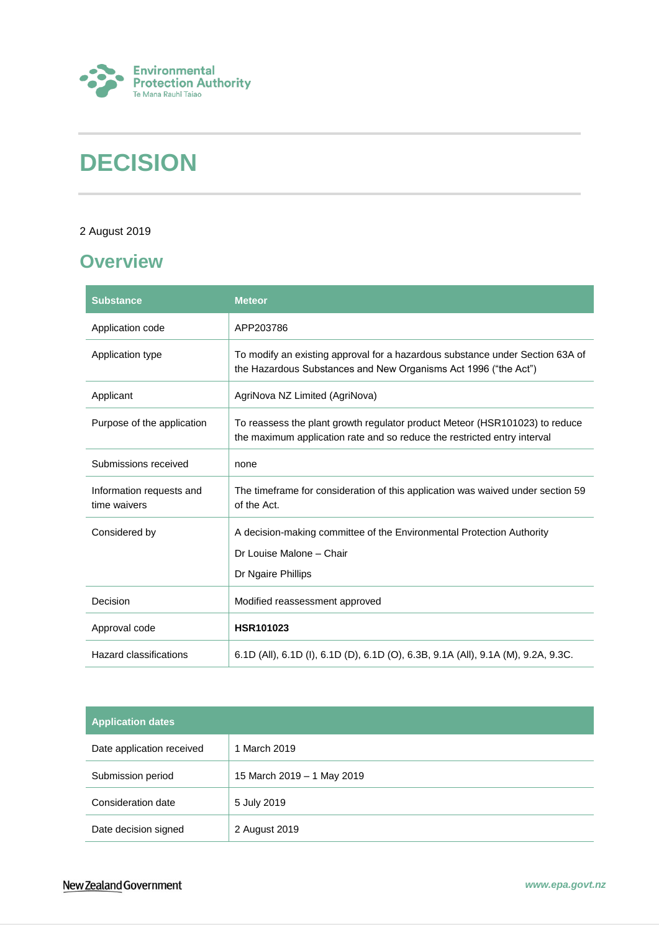

# **DECISION**

### 2 August 2019

## <span id="page-0-0"></span>**Overview**

| <b>Substance</b>                         | <b>Meteor</b>                                                                                                                                           |
|------------------------------------------|---------------------------------------------------------------------------------------------------------------------------------------------------------|
| Application code                         | APP203786                                                                                                                                               |
| Application type                         | To modify an existing approval for a hazardous substance under Section 63A of<br>the Hazardous Substances and New Organisms Act 1996 ("the Act")        |
| Applicant                                | AgriNova NZ Limited (AgriNova)                                                                                                                          |
| Purpose of the application               | To reassess the plant growth regulator product Meteor (HSR101023) to reduce<br>the maximum application rate and so reduce the restricted entry interval |
| Submissions received                     | none                                                                                                                                                    |
| Information requests and<br>time waivers | The timeframe for consideration of this application was waived under section 59<br>of the Act.                                                          |
| Considered by                            | A decision-making committee of the Environmental Protection Authority                                                                                   |
|                                          | Dr Louise Malone - Chair                                                                                                                                |
|                                          | Dr Ngaire Phillips                                                                                                                                      |
| Decision                                 | Modified reassessment approved                                                                                                                          |
| Approval code                            | <b>HSR101023</b>                                                                                                                                        |
| <b>Hazard classifications</b>            | 6.1D (All), 6.1D (I), 6.1D (D), 6.1D (O), 6.3B, 9.1A (All), 9.1A (M), 9.2A, 9.3C.                                                                       |

| <b>Application dates</b>  |                            |  |
|---------------------------|----------------------------|--|
| Date application received | 1 March 2019               |  |
| Submission period         | 15 March 2019 - 1 May 2019 |  |
| Consideration date        | 5 July 2019                |  |
| Date decision signed      | 2 August 2019              |  |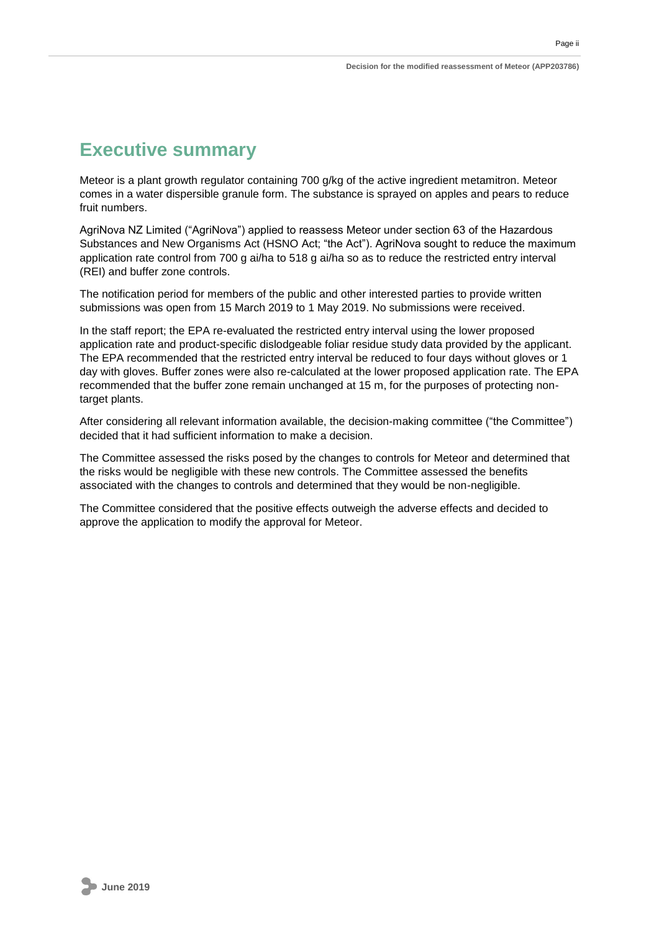## <span id="page-1-0"></span>**Executive summary**

Meteor is a plant growth regulator containing 700 g/kg of the active ingredient metamitron. Meteor comes in a water dispersible granule form. The substance is sprayed on apples and pears to reduce fruit numbers.

AgriNova NZ Limited ("AgriNova") applied to reassess Meteor under section 63 of the Hazardous Substances and New Organisms Act (HSNO Act; "the Act"). AgriNova sought to reduce the maximum application rate control from 700 g ai/ha to 518 g ai/ha so as to reduce the restricted entry interval (REI) and buffer zone controls.

The notification period for members of the public and other interested parties to provide written submissions was open from 15 March 2019 to 1 May 2019. No submissions were received.

In the staff report; the EPA re-evaluated the restricted entry interval using the lower proposed application rate and product-specific dislodgeable foliar residue study data provided by the applicant. The EPA recommended that the restricted entry interval be reduced to four days without gloves or 1 day with gloves. Buffer zones were also re-calculated at the lower proposed application rate. The EPA recommended that the buffer zone remain unchanged at 15 m, for the purposes of protecting nontarget plants.

After considering all relevant information available, the decision-making committee ("the Committee") decided that it had sufficient information to make a decision.

The Committee assessed the risks posed by the changes to controls for Meteor and determined that the risks would be negligible with these new controls. The Committee assessed the benefits associated with the changes to controls and determined that they would be non-negligible.

The Committee considered that the positive effects outweigh the adverse effects and decided to approve the application to modify the approval for Meteor.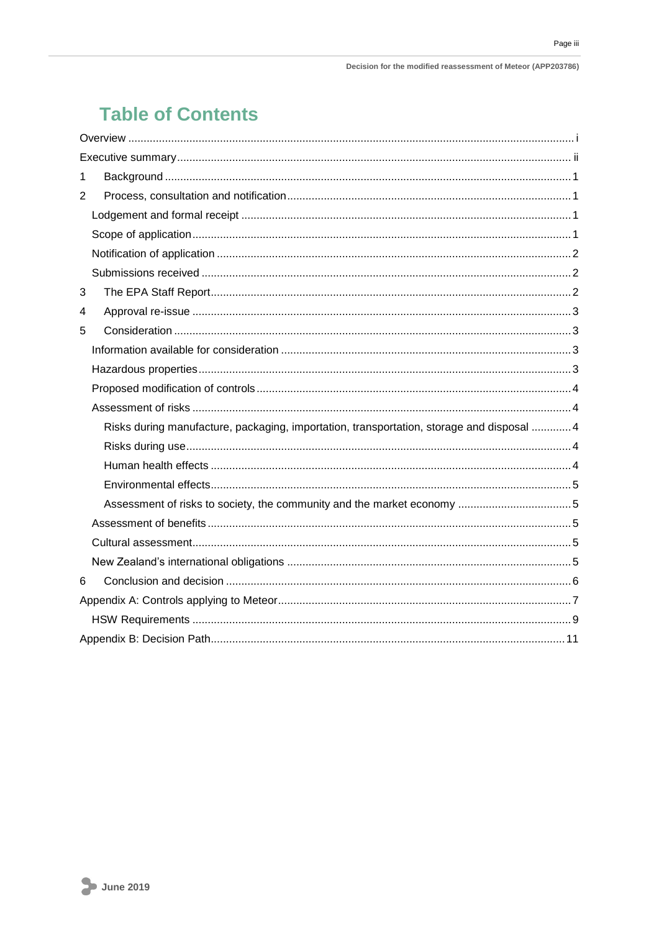## **Table of Contents**

| 1                                                                                         |
|-------------------------------------------------------------------------------------------|
| $\overline{2}$                                                                            |
|                                                                                           |
|                                                                                           |
|                                                                                           |
|                                                                                           |
| 3                                                                                         |
| 4                                                                                         |
| 5                                                                                         |
|                                                                                           |
|                                                                                           |
|                                                                                           |
|                                                                                           |
| Risks during manufacture, packaging, importation, transportation, storage and disposal  4 |
|                                                                                           |
|                                                                                           |
|                                                                                           |
|                                                                                           |
|                                                                                           |
|                                                                                           |
|                                                                                           |
| 6                                                                                         |
|                                                                                           |
|                                                                                           |
|                                                                                           |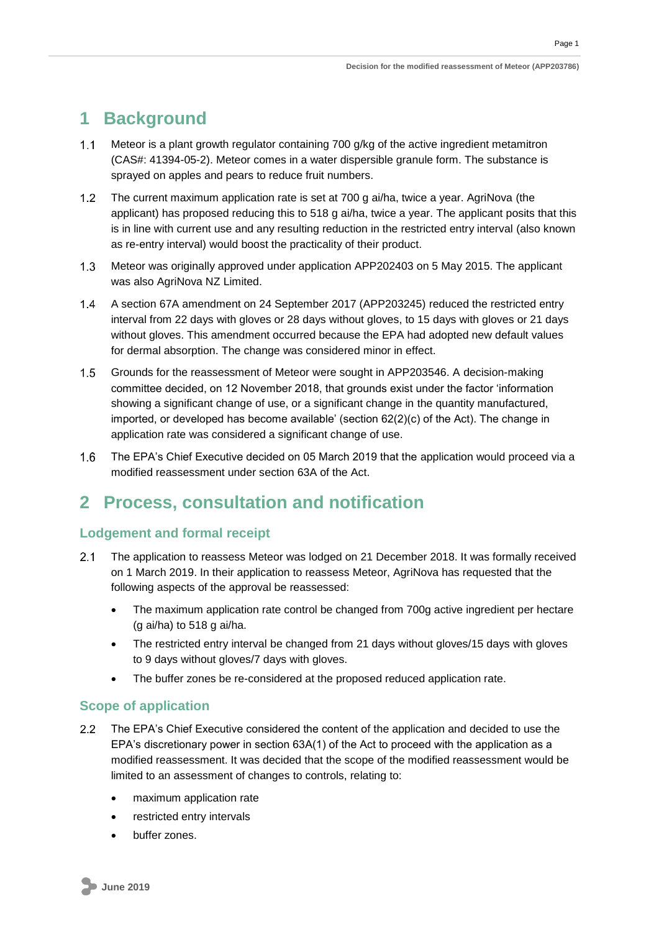## <span id="page-3-0"></span>**1 Background**

- $1.1$ Meteor is a plant growth regulator containing 700 g/kg of the active ingredient metamitron (CAS#: 41394-05-2). Meteor comes in a water dispersible granule form. The substance is sprayed on apples and pears to reduce fruit numbers.
- $1.2$ The current maximum application rate is set at 700 g ai/ha, twice a year. AgriNova (the applicant) has proposed reducing this to 518 g ai/ha, twice a year. The applicant posits that this is in line with current use and any resulting reduction in the restricted entry interval (also known as re-entry interval) would boost the practicality of their product.
- $1.3$ Meteor was originally approved under application APP202403 on 5 May 2015. The applicant was also AgriNova NZ Limited.
- $1.4$ A section 67A amendment on 24 September 2017 (APP203245) reduced the restricted entry interval from 22 days with gloves or 28 days without gloves, to 15 days with gloves or 21 days without gloves. This amendment occurred because the EPA had adopted new default values for dermal absorption. The change was considered minor in effect.
- $1.5$ Grounds for the reassessment of Meteor were sought in APP203546. A decision-making committee decided, on 12 November 2018, that grounds exist under the factor 'information showing a significant change of use, or a significant change in the quantity manufactured, imported, or developed has become available' (section 62(2)(c) of the Act). The change in application rate was considered a significant change of use.
- $1.6$ The EPA's Chief Executive decided on 05 March 2019 that the application would proceed via a modified reassessment under section 63A of the Act.

## <span id="page-3-1"></span>**2 Process, consultation and notification**

### <span id="page-3-2"></span>**Lodgement and formal receipt**

- $2.1$ The application to reassess Meteor was lodged on 21 December 2018. It was formally received on 1 March 2019. In their application to reassess Meteor, AgriNova has requested that the following aspects of the approval be reassessed:
	- The maximum application rate control be changed from 700g active ingredient per hectare (g ai/ha) to 518 g ai/ha.
	- The restricted entry interval be changed from 21 days without gloves/15 days with gloves to 9 days without gloves/7 days with gloves.
	- The buffer zones be re-considered at the proposed reduced application rate.

### <span id="page-3-3"></span>**Scope of application**

- $2.2<sub>2</sub>$ The EPA's Chief Executive considered the content of the application and decided to use the EPA's discretionary power in section 63A(1) of the Act to proceed with the application as a modified reassessment. It was decided that the scope of the modified reassessment would be limited to an assessment of changes to controls, relating to:
	- maximum application rate
	- restricted entry intervals
	- buffer zones.

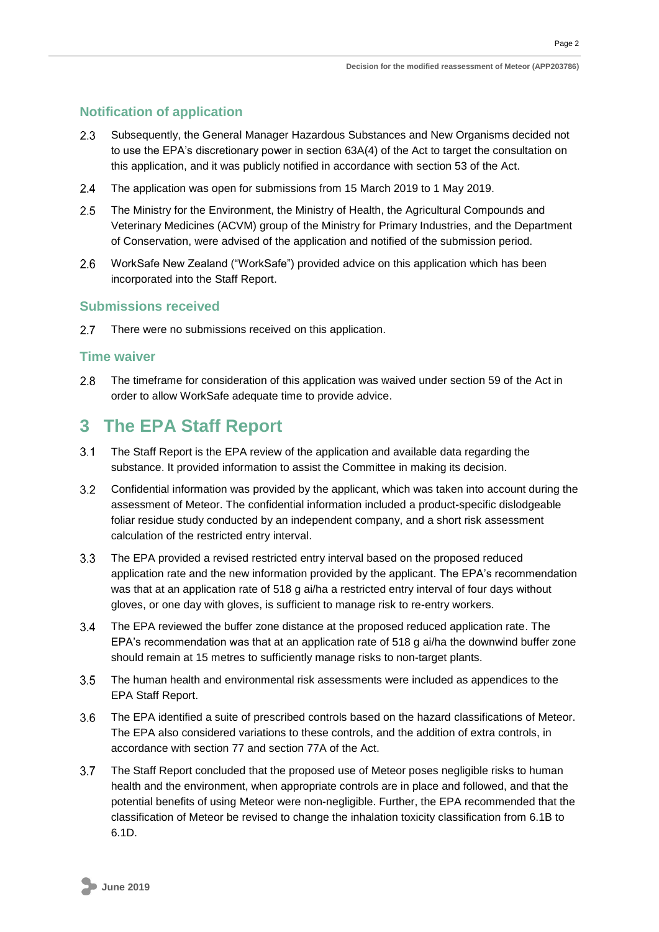### <span id="page-4-0"></span>**Notification of application**

- Subsequently, the General Manager Hazardous Substances and New Organisms decided not  $2.3$ to use the EPA's discretionary power in section 63A(4) of the Act to target the consultation on this application, and it was publicly notified in accordance with section 53 of the Act.
- $2.4$ The application was open for submissions from 15 March 2019 to 1 May 2019.
- $2.5$ The Ministry for the Environment, the Ministry of Health, the Agricultural Compounds and Veterinary Medicines (ACVM) group of the Ministry for Primary Industries, and the Department of Conservation, were advised of the application and notified of the submission period.
- $2.6$ WorkSafe New Zealand ("WorkSafe") provided advice on this application which has been incorporated into the Staff Report.

### <span id="page-4-1"></span>**Submissions received**

 $2.7$ There were no submissions received on this application.

### **Time waiver**

 $2.8$ The timeframe for consideration of this application was waived under section 59 of the Act in order to allow WorkSafe adequate time to provide advice.

## <span id="page-4-2"></span>**3 The EPA Staff Report**

- $3.1$ The Staff Report is the EPA review of the application and available data regarding the substance. It provided information to assist the Committee in making its decision.
- $3.2$ Confidential information was provided by the applicant, which was taken into account during the assessment of Meteor. The confidential information included a product-specific dislodgeable foliar residue study conducted by an independent company, and a short risk assessment calculation of the restricted entry interval.
- $3.3<sub>z</sub>$ The EPA provided a revised restricted entry interval based on the proposed reduced application rate and the new information provided by the applicant. The EPA's recommendation was that at an application rate of 518 g ai/ha a restricted entry interval of four days without gloves, or one day with gloves, is sufficient to manage risk to re-entry workers.
- $3.4$ The EPA reviewed the buffer zone distance at the proposed reduced application rate. The EPA's recommendation was that at an application rate of 518 g ai/ha the downwind buffer zone should remain at 15 metres to sufficiently manage risks to non-target plants.
- $3.5$ The human health and environmental risk assessments were included as appendices to the EPA Staff Report.
- $3.6$ The EPA identified a suite of prescribed controls based on the hazard classifications of Meteor. The EPA also considered variations to these controls, and the addition of extra controls, in accordance with section 77 and section 77A of the Act.
- $3.7$ The Staff Report concluded that the proposed use of Meteor poses negligible risks to human health and the environment, when appropriate controls are in place and followed, and that the potential benefits of using Meteor were non-negligible. Further, the EPA recommended that the classification of Meteor be revised to change the inhalation toxicity classification from 6.1B to 6.1D.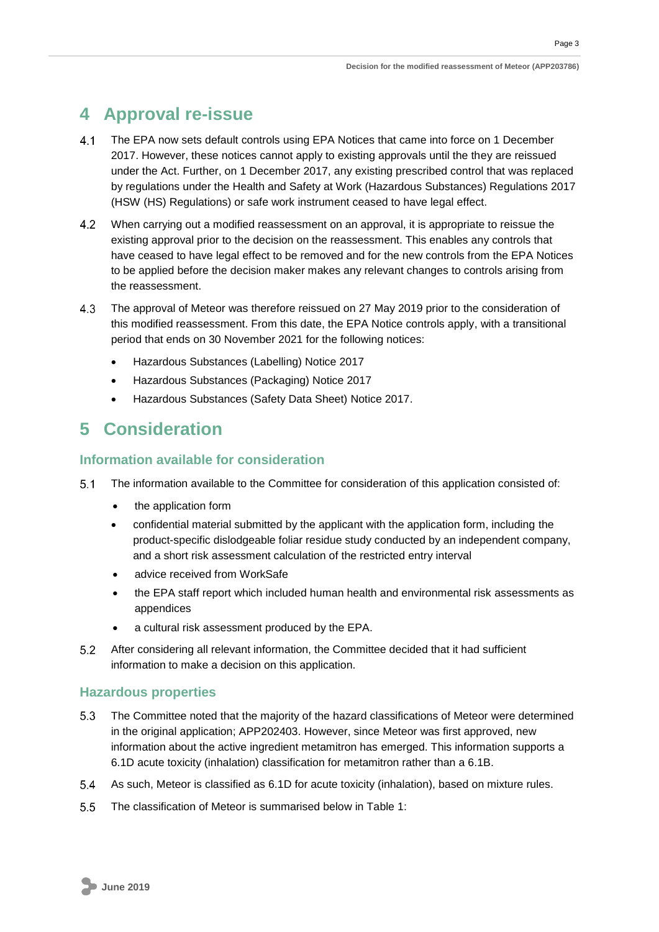Page 3

## <span id="page-5-0"></span>**4 Approval re-issue**

- $4.1$ The EPA now sets default controls using EPA Notices that came into force on 1 December 2017. However, these notices cannot apply to existing approvals until the they are reissued under the Act. Further, on 1 December 2017, any existing prescribed control that was replaced by regulations under the Health and Safety at Work (Hazardous Substances) Regulations 2017 (HSW (HS) Regulations) or safe work instrument ceased to have legal effect.
- $4.2$ When carrying out a modified reassessment on an approval, it is appropriate to reissue the existing approval prior to the decision on the reassessment. This enables any controls that have ceased to have legal effect to be removed and for the new controls from the EPA Notices to be applied before the decision maker makes any relevant changes to controls arising from the reassessment.
- $4.3$ The approval of Meteor was therefore reissued on 27 May 2019 prior to the consideration of this modified reassessment. From this date, the EPA Notice controls apply, with a transitional period that ends on 30 November 2021 for the following notices:
	- Hazardous Substances (Labelling) Notice 2017
	- Hazardous Substances (Packaging) Notice 2017
	- Hazardous Substances (Safety Data Sheet) Notice 2017.

## <span id="page-5-1"></span>**5 Consideration**

### <span id="page-5-2"></span>**Information available for consideration**

- $5.1$ The information available to the Committee for consideration of this application consisted of:
	- the application form
	- confidential material submitted by the applicant with the application form, including the product-specific dislodgeable foliar residue study conducted by an independent company, and a short risk assessment calculation of the restricted entry interval
	- advice received from WorkSafe
	- the EPA staff report which included human health and environmental risk assessments as appendices
	- a cultural risk assessment produced by the EPA.
- $5.2$ After considering all relevant information, the Committee decided that it had sufficient information to make a decision on this application.

### <span id="page-5-3"></span>**Hazardous properties**

- $5.3$ The Committee noted that the majority of the hazard classifications of Meteor were determined in the original application; APP202403. However, since Meteor was first approved, new information about the active ingredient metamitron has emerged. This information supports a 6.1D acute toxicity (inhalation) classification for metamitron rather than a 6.1B.
- $5.4$ As such, Meteor is classified as 6.1D for acute toxicity (inhalation), based on mixture rules.
- $5.5$ The classification of Meteor is summarised below in Table 1: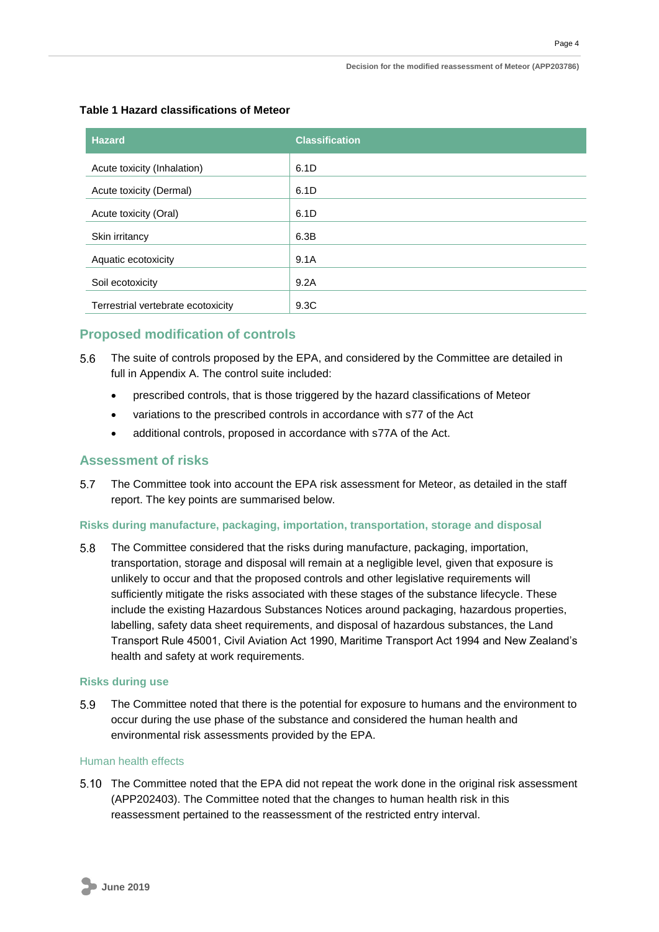| <b>Hazard</b>                      | <b>Classification</b> |
|------------------------------------|-----------------------|
| Acute toxicity (Inhalation)        | 6.1D                  |
| Acute toxicity (Dermal)            | 6.1D                  |
| Acute toxicity (Oral)              | 6.1D                  |
| Skin irritancy                     | 6.3B                  |
| Aquatic ecotoxicity                | 9.1A                  |
| Soil ecotoxicity                   | 9.2A                  |
| Terrestrial vertebrate ecotoxicity | 9.3C                  |

#### **Table 1 Hazard classifications of Meteor**

### <span id="page-6-0"></span>**Proposed modification of controls**

- The suite of controls proposed by the EPA, and considered by the Committee are detailed in full in Appendix A. The control suite included:
	- prescribed controls, that is those triggered by the hazard classifications of Meteor
	- variations to the prescribed controls in accordance with s77 of the Act
	- additional controls, proposed in accordance with s77A of the Act.

### <span id="page-6-1"></span>**Assessment of risks**

 $5.7$ The Committee took into account the EPA risk assessment for Meteor, as detailed in the staff report. The key points are summarised below.

#### <span id="page-6-2"></span>**Risks during manufacture, packaging, importation, transportation, storage and disposal**

 $5.8$ The Committee considered that the risks during manufacture, packaging, importation, transportation, storage and disposal will remain at a negligible level, given that exposure is unlikely to occur and that the proposed controls and other legislative requirements will sufficiently mitigate the risks associated with these stages of the substance lifecycle. These include the existing Hazardous Substances Notices around packaging, hazardous properties, labelling, safety data sheet requirements, and disposal of hazardous substances, the Land Transport Rule 45001, Civil Aviation Act 1990, Maritime Transport Act 1994 and New Zealand's health and safety at work requirements.

#### <span id="page-6-3"></span>**Risks during use**

 $5.9$ The Committee noted that there is the potential for exposure to humans and the environment to occur during the use phase of the substance and considered the human health and environmental risk assessments provided by the EPA.

#### <span id="page-6-4"></span>Human health effects

5.10 The Committee noted that the EPA did not repeat the work done in the original risk assessment (APP202403). The Committee noted that the changes to human health risk in this reassessment pertained to the reassessment of the restricted entry interval.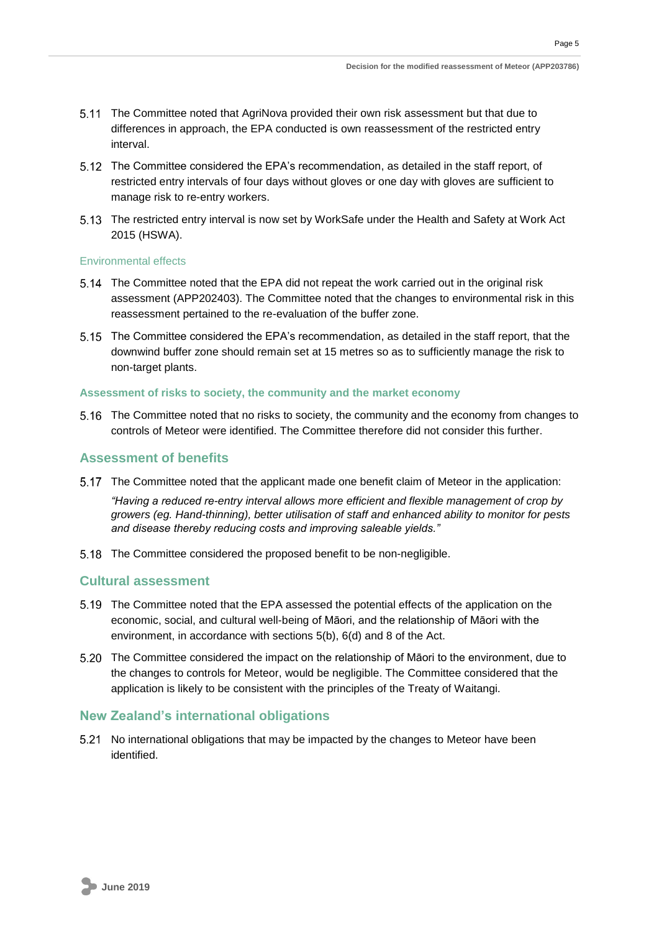Page 5

- The Committee noted that AgriNova provided their own risk assessment but that due to differences in approach, the EPA conducted is own reassessment of the restricted entry interval.
- 5.12 The Committee considered the EPA's recommendation, as detailed in the staff report, of restricted entry intervals of four days without gloves or one day with gloves are sufficient to manage risk to re-entry workers.
- The restricted entry interval is now set by WorkSafe under the Health and Safety at Work Act 2015 (HSWA).

#### <span id="page-7-0"></span>Environmental effects

- 5.14 The Committee noted that the EPA did not repeat the work carried out in the original risk assessment (APP202403). The Committee noted that the changes to environmental risk in this reassessment pertained to the re-evaluation of the buffer zone.
- 5.15 The Committee considered the EPA's recommendation, as detailed in the staff report, that the downwind buffer zone should remain set at 15 metres so as to sufficiently manage the risk to non-target plants.

#### <span id="page-7-1"></span>**Assessment of risks to society, the community and the market economy**

5.16 The Committee noted that no risks to society, the community and the economy from changes to controls of Meteor were identified. The Committee therefore did not consider this further.

#### <span id="page-7-2"></span>**Assessment of benefits**

The Committee noted that the applicant made one benefit claim of Meteor in the application:

*"Having a reduced re-entry interval allows more efficient and flexible management of crop by growers (eg. Hand-thinning), better utilisation of staff and enhanced ability to monitor for pests and disease thereby reducing costs and improving saleable yields."*

The Committee considered the proposed benefit to be non-negligible.

#### <span id="page-7-3"></span>**Cultural assessment**

- The Committee noted that the EPA assessed the potential effects of the application on the economic, social, and cultural well-being of Māori, and the relationship of Māori with the environment, in accordance with sections 5(b), 6(d) and 8 of the Act.
- The Committee considered the impact on the relationship of Māori to the environment, due to the changes to controls for Meteor, would be negligible. The Committee considered that the application is likely to be consistent with the principles of the Treaty of Waitangi.

#### <span id="page-7-4"></span>**New Zealand's international obligations**

<span id="page-7-5"></span>5.21 No international obligations that may be impacted by the changes to Meteor have been identified.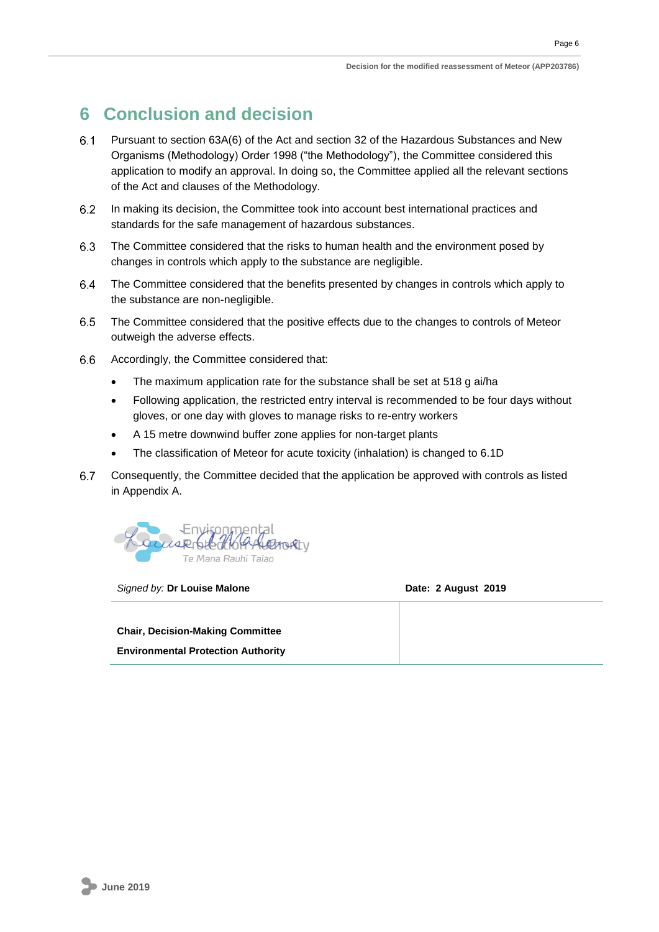## **6 Conclusion and decision**

- $6.1$ Pursuant to section 63A(6) of the Act and section 32 of the Hazardous Substances and New Organisms (Methodology) Order 1998 ("the Methodology"), the Committee considered this application to modify an approval. In doing so, the Committee applied all the relevant sections of the Act and clauses of the Methodology.
- In making its decision, the Committee took into account best international practices and  $6.2$ standards for the safe management of hazardous substances.
- 6.3 The Committee considered that the risks to human health and the environment posed by changes in controls which apply to the substance are negligible.
- $6.4$ The Committee considered that the benefits presented by changes in controls which apply to the substance are non-negligible.
- $6.5$ The Committee considered that the positive effects due to the changes to controls of Meteor outweigh the adverse effects.
- $6.6$ Accordingly, the Committee considered that:
	- The maximum application rate for the substance shall be set at 518 g ai/ha
	- Following application, the restricted entry interval is recommended to be four days without gloves, or one day with gloves to manage risks to re-entry workers
	- A 15 metre downwind buffer zone applies for non-target plants
	- The classification of Meteor for acute toxicity (inhalation) is changed to 6.1D
- $6.7$ Consequently, the Committee decided that the application be approved with controls as listed in Appendix A.



*Signed by:* **Dr Louise Malone Date: 2 August 2019**

**Chair, Decision-Making Committee Environmental Protection Authority**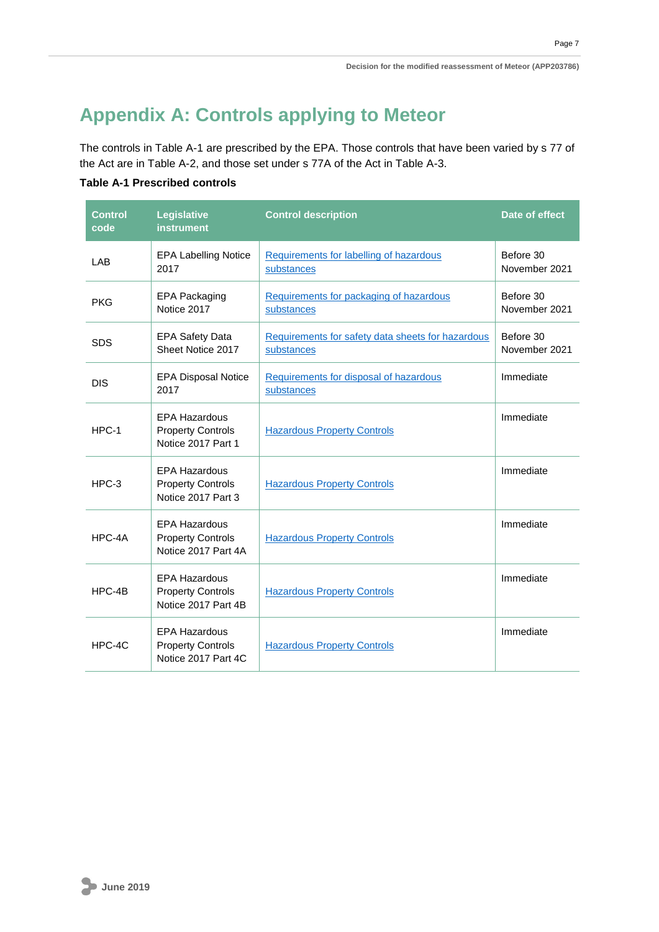## <span id="page-9-0"></span>**Appendix A: Controls applying to Meteor**

The controls in Table A-1 are prescribed by the EPA. Those controls that have been varied by s 77 of the Act are in Table A-2, and those set under s 77A of the Act in Table A-3.

#### **Table A-1 Prescribed controls**

| <b>Control</b><br>code | Legislative<br><b>instrument</b>                                        | <b>Control description</b>                                      | Date of effect             |
|------------------------|-------------------------------------------------------------------------|-----------------------------------------------------------------|----------------------------|
| LAB                    | <b>EPA Labelling Notice</b><br>2017                                     | Requirements for labelling of hazardous<br>substances           | Before 30<br>November 2021 |
| <b>PKG</b>             | <b>EPA Packaging</b><br>Notice 2017                                     | Requirements for packaging of hazardous<br>substances           | Before 30<br>November 2021 |
| <b>SDS</b>             | <b>EPA Safety Data</b><br>Sheet Notice 2017                             | Requirements for safety data sheets for hazardous<br>substances | Before 30<br>November 2021 |
| <b>DIS</b>             | <b>EPA Disposal Notice</b><br>2017                                      | Requirements for disposal of hazardous<br>substances            | Immediate                  |
| HPC-1                  | <b>EPA Hazardous</b><br><b>Property Controls</b><br>Notice 2017 Part 1  | <b>Hazardous Property Controls</b>                              | Immediate                  |
| $HPC-3$                | <b>EPA Hazardous</b><br><b>Property Controls</b><br>Notice 2017 Part 3  | <b>Hazardous Property Controls</b>                              | Immediate                  |
| HPC-4A                 | <b>EPA Hazardous</b><br><b>Property Controls</b><br>Notice 2017 Part 4A | <b>Hazardous Property Controls</b>                              | Immediate                  |
| HPC-4B                 | <b>EPA Hazardous</b><br><b>Property Controls</b><br>Notice 2017 Part 4B | <b>Hazardous Property Controls</b>                              | Immediate                  |
| HPC-4C                 | <b>EPA Hazardous</b><br><b>Property Controls</b><br>Notice 2017 Part 4C | <b>Hazardous Property Controls</b>                              | Immediate                  |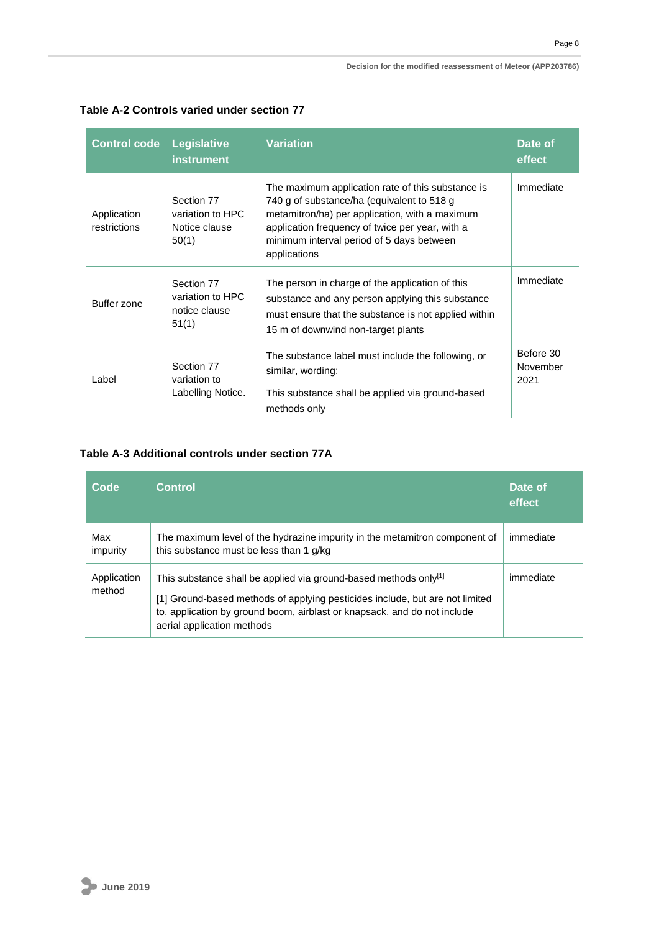| <b>Control code</b>         | Legislative<br><b>instrument</b>                         | <b>Variation</b>                                                                                                                                                                                                                                                  | Date of<br>effect             |
|-----------------------------|----------------------------------------------------------|-------------------------------------------------------------------------------------------------------------------------------------------------------------------------------------------------------------------------------------------------------------------|-------------------------------|
| Application<br>restrictions | Section 77<br>variation to HPC<br>Notice clause<br>50(1) | The maximum application rate of this substance is<br>740 g of substance/ha (equivalent to 518 g<br>metamitron/ha) per application, with a maximum<br>application frequency of twice per year, with a<br>minimum interval period of 5 days between<br>applications | Immediate                     |
| Buffer zone                 | Section 77<br>variation to HPC<br>notice clause<br>51(1) | The person in charge of the application of this<br>substance and any person applying this substance<br>must ensure that the substance is not applied within<br>15 m of downwind non-target plants                                                                 | Immediate                     |
| Label                       | Section 77<br>variation to<br>Labelling Notice.          | The substance label must include the following, or<br>similar, wording:<br>This substance shall be applied via ground-based<br>methods only                                                                                                                       | Before 30<br>November<br>2021 |

#### **Table A-2 Controls varied under section 77**

#### **Table A-3 Additional controls under section 77A**

| Code                  | <b>Control</b>                                                                                                                                                                                                                                             | Date of<br>effect |
|-----------------------|------------------------------------------------------------------------------------------------------------------------------------------------------------------------------------------------------------------------------------------------------------|-------------------|
| Max<br>impurity       | The maximum level of the hydrazine impurity in the metamitron component of<br>this substance must be less than 1 g/kg                                                                                                                                      | immediate         |
| Application<br>method | This substance shall be applied via ground-based methods only[1]<br>[1] Ground-based methods of applying pesticides include, but are not limited<br>to, application by ground boom, airblast or knapsack, and do not include<br>aerial application methods | immediate         |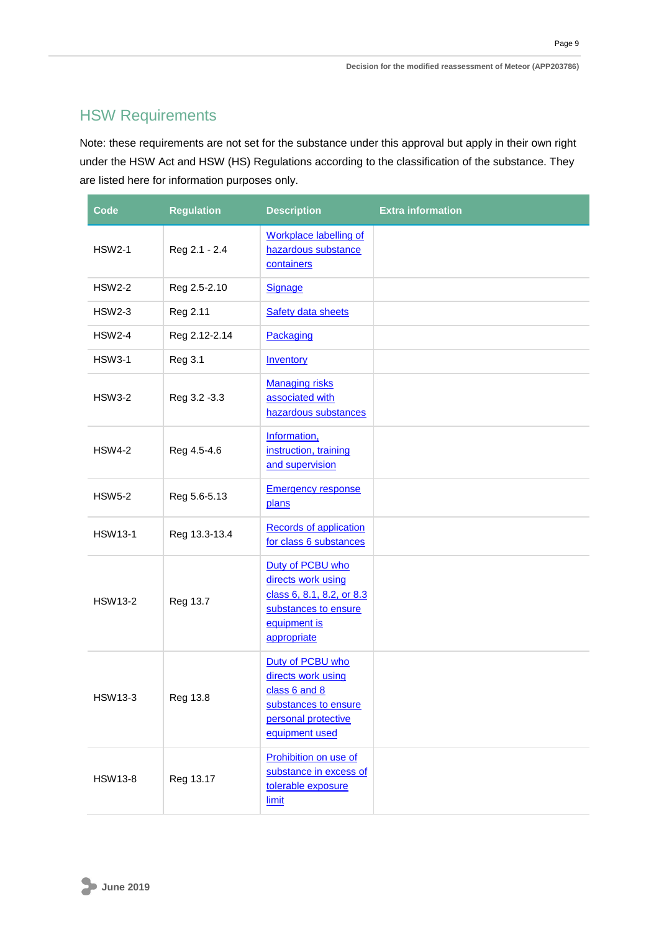Page 9

## <span id="page-11-0"></span>HSW Requirements

Note: these requirements are not set for the substance under this approval but apply in their own right under the HSW Act and HSW (HS) Regulations according to the classification of the substance. They are listed here for information purposes only.

| Code           | <b>Regulation</b> | <b>Description</b>                                                                                                         | <b>Extra information</b> |
|----------------|-------------------|----------------------------------------------------------------------------------------------------------------------------|--------------------------|
| <b>HSW2-1</b>  | Reg 2.1 - 2.4     | <b>Workplace labelling of</b><br>hazardous substance<br>containers                                                         |                          |
| <b>HSW2-2</b>  | Reg 2.5-2.10      | <b>Signage</b>                                                                                                             |                          |
| <b>HSW2-3</b>  | Reg 2.11          | <b>Safety data sheets</b>                                                                                                  |                          |
| <b>HSW2-4</b>  | Reg 2.12-2.14     | Packaging                                                                                                                  |                          |
| <b>HSW3-1</b>  | <b>Reg 3.1</b>    | Inventory                                                                                                                  |                          |
| <b>HSW3-2</b>  | Reg 3.2 - 3.3     | <b>Managing risks</b><br>associated with<br>hazardous substances                                                           |                          |
| <b>HSW4-2</b>  | Reg 4.5-4.6       | Information,<br>instruction, training<br>and supervision                                                                   |                          |
| <b>HSW5-2</b>  | Reg 5.6-5.13      | <b>Emergency response</b><br>plans                                                                                         |                          |
| <b>HSW13-1</b> | Reg 13.3-13.4     | <b>Records of application</b><br>for class 6 substances                                                                    |                          |
| <b>HSW13-2</b> | Reg 13.7          | Duty of PCBU who<br>directs work using<br>class 6, 8.1, 8.2, or 8.3<br>substances to ensure<br>equipment is<br>appropriate |                          |
| <b>HSW13-3</b> | Reg 13.8          | Duty of PCBU who<br>directs work using<br>class 6 and 8<br>substances to ensure<br>personal protective<br>equipment used   |                          |
| <b>HSW13-8</b> | Reg 13.17         | Prohibition on use of<br>substance in excess of<br>tolerable exposure<br>limit                                             |                          |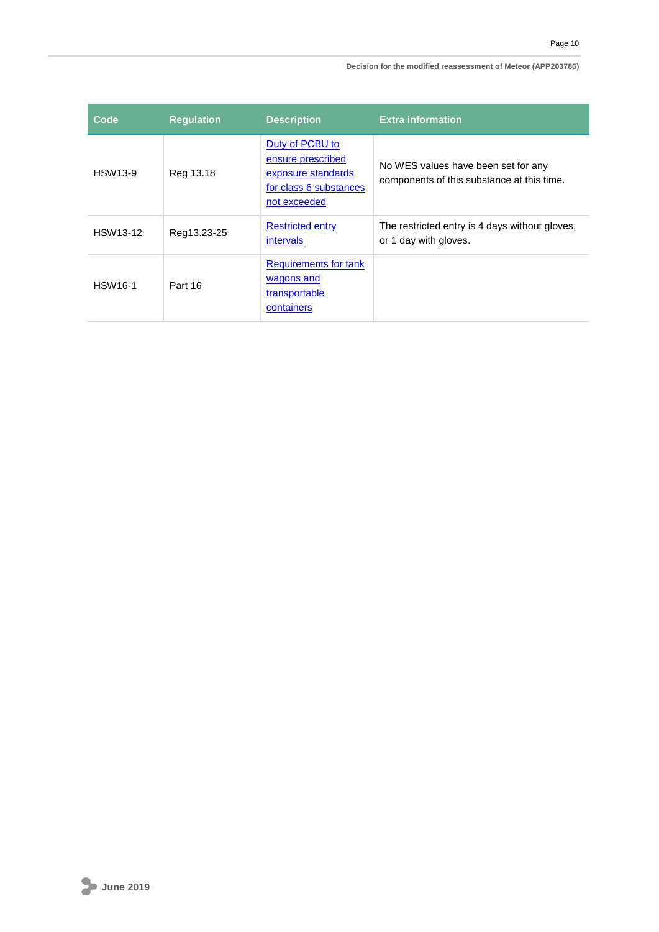#### **Decision for the modified reassessment of Meteor (APP203786)**

| Code           | <b>Requlation</b> | <b>Description</b>                                                                                   | <b>Extra information</b>                                                          |
|----------------|-------------------|------------------------------------------------------------------------------------------------------|-----------------------------------------------------------------------------------|
| <b>HSW13-9</b> | Reg 13.18         | Duty of PCBU to<br>ensure prescribed<br>exposure standards<br>for class 6 substances<br>not exceeded | No WES values have been set for any<br>components of this substance at this time. |
| HSW13-12       | Reg13.23-25       | <b>Restricted entry</b><br>intervals                                                                 | The restricted entry is 4 days without gloves,<br>or 1 day with gloves.           |
| <b>HSW16-1</b> | Part 16           | Requirements for tank<br>wagons and<br>transportable<br>containers                                   |                                                                                   |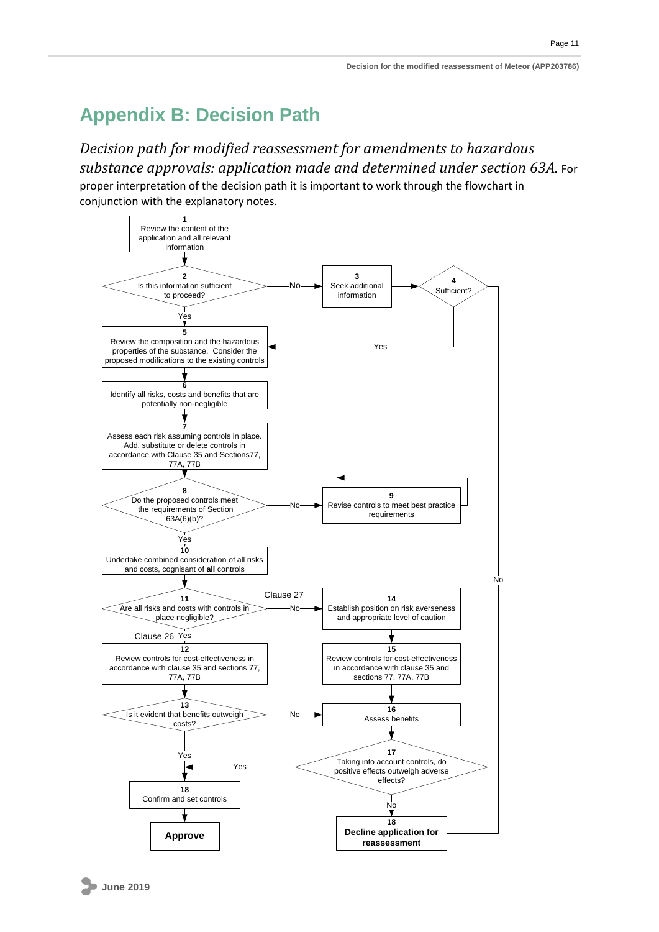## <span id="page-13-0"></span>**Appendix B: Decision Path**

*Decision path for modified reassessment for amendments to hazardous substance approvals: application made and determined under section 63A.* For proper interpretation of the decision path it is important to work through the flowchart in conjunction with the explanatory notes.

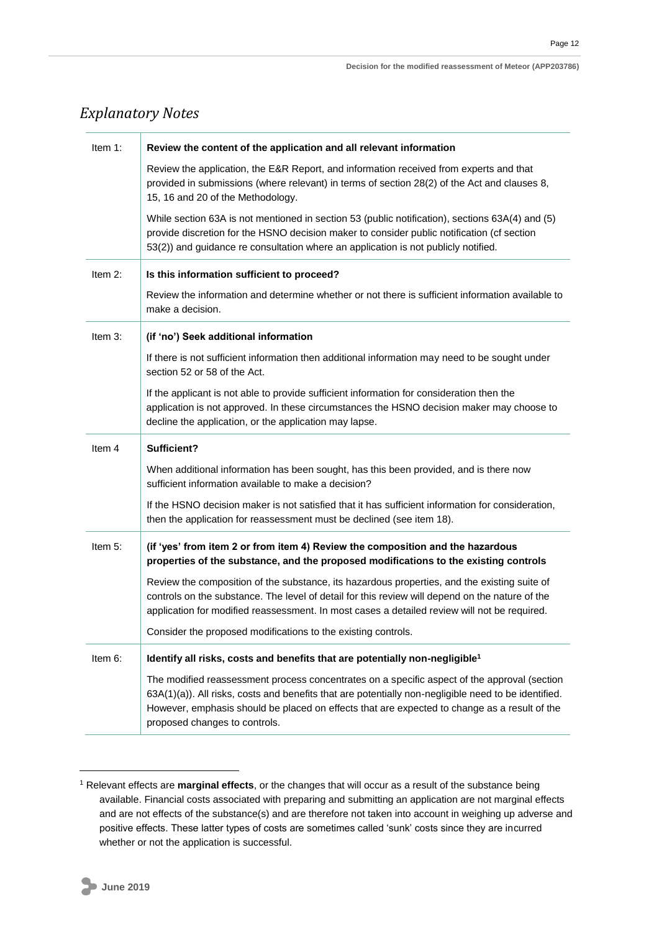### *Explanatory Notes*

| Item 1:    | Review the content of the application and all relevant information                                                                                                                                                                                                                                                                    |
|------------|---------------------------------------------------------------------------------------------------------------------------------------------------------------------------------------------------------------------------------------------------------------------------------------------------------------------------------------|
|            | Review the application, the E&R Report, and information received from experts and that<br>provided in submissions (where relevant) in terms of section 28(2) of the Act and clauses 8,<br>15, 16 and 20 of the Methodology.                                                                                                           |
|            | While section 63A is not mentioned in section 53 (public notification), sections 63A(4) and (5)<br>provide discretion for the HSNO decision maker to consider public notification (cf section<br>53(2)) and guidance re consultation where an application is not publicly notified.                                                   |
| Item 2:    | Is this information sufficient to proceed?                                                                                                                                                                                                                                                                                            |
|            | Review the information and determine whether or not there is sufficient information available to<br>make a decision.                                                                                                                                                                                                                  |
| Item $3$ : | (if 'no') Seek additional information                                                                                                                                                                                                                                                                                                 |
|            | If there is not sufficient information then additional information may need to be sought under<br>section 52 or 58 of the Act.                                                                                                                                                                                                        |
|            | If the applicant is not able to provide sufficient information for consideration then the<br>application is not approved. In these circumstances the HSNO decision maker may choose to<br>decline the application, or the application may lapse.                                                                                      |
| Item 4     | Sufficient?                                                                                                                                                                                                                                                                                                                           |
|            | When additional information has been sought, has this been provided, and is there now<br>sufficient information available to make a decision?                                                                                                                                                                                         |
|            | If the HSNO decision maker is not satisfied that it has sufficient information for consideration,<br>then the application for reassessment must be declined (see item 18).                                                                                                                                                            |
| Item 5:    | (if 'yes' from item 2 or from item 4) Review the composition and the hazardous<br>properties of the substance, and the proposed modifications to the existing controls                                                                                                                                                                |
|            | Review the composition of the substance, its hazardous properties, and the existing suite of<br>controls on the substance. The level of detail for this review will depend on the nature of the<br>application for modified reassessment. In most cases a detailed review will not be required.                                       |
|            | Consider the proposed modifications to the existing controls.                                                                                                                                                                                                                                                                         |
| Item 6:    | Identify all risks, costs and benefits that are potentially non-negligible <sup>1</sup>                                                                                                                                                                                                                                               |
|            | The modified reassessment process concentrates on a specific aspect of the approval (section<br>63A(1)(a)). All risks, costs and benefits that are potentially non-negligible need to be identified.<br>However, emphasis should be placed on effects that are expected to change as a result of the<br>proposed changes to controls. |

<sup>1</sup> Relevant effects are **marginal effects**, or the changes that will occur as a result of the substance being available. Financial costs associated with preparing and submitting an application are not marginal effects and are not effects of the substance(s) and are therefore not taken into account in weighing up adverse and positive effects. These latter types of costs are sometimes called 'sunk' costs since they are incurred whether or not the application is successful.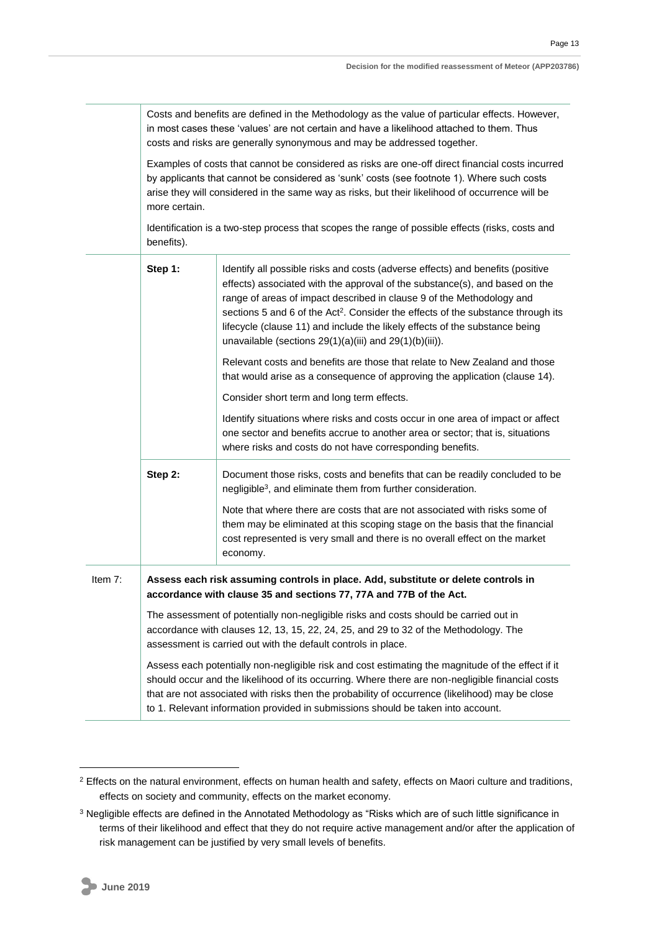Costs and benefits are defined in the Methodology as the value of particular effects. However, in most cases these 'values' are not certain and have a likelihood attached to them. Thus costs and risks are generally synonymous and may be addressed together.

Examples of costs that cannot be considered as risks are one-off direct financial costs incurred by applicants that cannot be considered as 'sunk' costs (see footnote 1). Where such costs arise they will considered in the same way as risks, but their likelihood of occurrence will be more certain.

Identification is a two-step process that scopes the range of possible effects (risks, costs and benefits).

|         | Step 1:                                                                                                                                                                                                                                                                                                                                                                                      | Identify all possible risks and costs (adverse effects) and benefits (positive<br>effects) associated with the approval of the substance(s), and based on the<br>range of areas of impact described in clause 9 of the Methodology and<br>sections 5 and 6 of the Act <sup>2</sup> . Consider the effects of the substance through its<br>lifecycle (clause 11) and include the likely effects of the substance being<br>unavailable (sections $29(1)(a)(iii)$ and $29(1)(b)(iii)$ ). |
|---------|----------------------------------------------------------------------------------------------------------------------------------------------------------------------------------------------------------------------------------------------------------------------------------------------------------------------------------------------------------------------------------------------|---------------------------------------------------------------------------------------------------------------------------------------------------------------------------------------------------------------------------------------------------------------------------------------------------------------------------------------------------------------------------------------------------------------------------------------------------------------------------------------|
|         |                                                                                                                                                                                                                                                                                                                                                                                              | Relevant costs and benefits are those that relate to New Zealand and those<br>that would arise as a consequence of approving the application (clause 14).                                                                                                                                                                                                                                                                                                                             |
|         |                                                                                                                                                                                                                                                                                                                                                                                              | Consider short term and long term effects.                                                                                                                                                                                                                                                                                                                                                                                                                                            |
|         |                                                                                                                                                                                                                                                                                                                                                                                              | Identify situations where risks and costs occur in one area of impact or affect<br>one sector and benefits accrue to another area or sector; that is, situations<br>where risks and costs do not have corresponding benefits.                                                                                                                                                                                                                                                         |
|         | Step 2:                                                                                                                                                                                                                                                                                                                                                                                      | Document those risks, costs and benefits that can be readily concluded to be<br>negligible <sup>3</sup> , and eliminate them from further consideration.                                                                                                                                                                                                                                                                                                                              |
|         |                                                                                                                                                                                                                                                                                                                                                                                              | Note that where there are costs that are not associated with risks some of<br>them may be eliminated at this scoping stage on the basis that the financial<br>cost represented is very small and there is no overall effect on the market<br>economy.                                                                                                                                                                                                                                 |
| Item 7: |                                                                                                                                                                                                                                                                                                                                                                                              | Assess each risk assuming controls in place. Add, substitute or delete controls in<br>accordance with clause 35 and sections 77, 77A and 77B of the Act.                                                                                                                                                                                                                                                                                                                              |
|         | The assessment of potentially non-negligible risks and costs should be carried out in<br>accordance with clauses 12, 13, 15, 22, 24, 25, and 29 to 32 of the Methodology. The<br>assessment is carried out with the default controls in place.                                                                                                                                               |                                                                                                                                                                                                                                                                                                                                                                                                                                                                                       |
|         | Assess each potentially non-negligible risk and cost estimating the magnitude of the effect if it<br>should occur and the likelihood of its occurring. Where there are non-negligible financial costs<br>that are not associated with risks then the probability of occurrence (likelihood) may be close<br>to 1. Relevant information provided in submissions should be taken into account. |                                                                                                                                                                                                                                                                                                                                                                                                                                                                                       |

<sup>&</sup>lt;sup>2</sup> Effects on the natural environment, effects on human health and safety, effects on Maori culture and traditions, effects on society and community, effects on the market economy.

<sup>3</sup> Negligible effects are defined in the Annotated Methodology as "Risks which are of such little significance in terms of their likelihood and effect that they do not require active management and/or after the application of risk management can be justified by very small levels of benefits.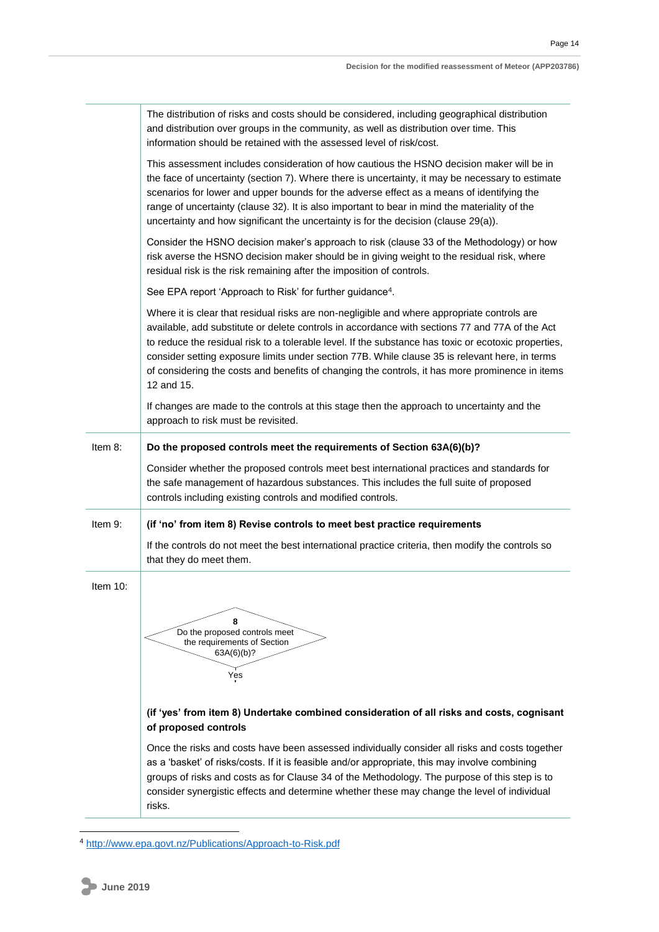|          | The distribution of risks and costs should be considered, including geographical distribution<br>and distribution over groups in the community, as well as distribution over time. This<br>information should be retained with the assessed level of risk/cost.                                                                                                                                                                                                                                                          |
|----------|--------------------------------------------------------------------------------------------------------------------------------------------------------------------------------------------------------------------------------------------------------------------------------------------------------------------------------------------------------------------------------------------------------------------------------------------------------------------------------------------------------------------------|
|          | This assessment includes consideration of how cautious the HSNO decision maker will be in<br>the face of uncertainty (section 7). Where there is uncertainty, it may be necessary to estimate<br>scenarios for lower and upper bounds for the adverse effect as a means of identifying the<br>range of uncertainty (clause 32). It is also important to bear in mind the materiality of the<br>uncertainty and how significant the uncertainty is for the decision (clause 29(a)).                                       |
|          | Consider the HSNO decision maker's approach to risk (clause 33 of the Methodology) or how<br>risk averse the HSNO decision maker should be in giving weight to the residual risk, where<br>residual risk is the risk remaining after the imposition of controls.                                                                                                                                                                                                                                                         |
|          | See EPA report 'Approach to Risk' for further guidance <sup>4</sup> .                                                                                                                                                                                                                                                                                                                                                                                                                                                    |
|          | Where it is clear that residual risks are non-negligible and where appropriate controls are<br>available, add substitute or delete controls in accordance with sections 77 and 77A of the Act<br>to reduce the residual risk to a tolerable level. If the substance has toxic or ecotoxic properties,<br>consider setting exposure limits under section 77B. While clause 35 is relevant here, in terms<br>of considering the costs and benefits of changing the controls, it has more prominence in items<br>12 and 15. |
|          | If changes are made to the controls at this stage then the approach to uncertainty and the<br>approach to risk must be revisited.                                                                                                                                                                                                                                                                                                                                                                                        |
| Item 8:  | Do the proposed controls meet the requirements of Section 63A(6)(b)?                                                                                                                                                                                                                                                                                                                                                                                                                                                     |
|          | Consider whether the proposed controls meet best international practices and standards for<br>the safe management of hazardous substances. This includes the full suite of proposed<br>controls including existing controls and modified controls.                                                                                                                                                                                                                                                                       |
| Item 9:  | (if 'no' from item 8) Revise controls to meet best practice requirements                                                                                                                                                                                                                                                                                                                                                                                                                                                 |
|          | If the controls do not meet the best international practice criteria, then modify the controls so<br>that they do meet them.                                                                                                                                                                                                                                                                                                                                                                                             |
| Item 10: |                                                                                                                                                                                                                                                                                                                                                                                                                                                                                                                          |
|          | 8<br>Do the proposed controls meet<br>the requirements of Section<br>63A(6)(b)?<br>Yes                                                                                                                                                                                                                                                                                                                                                                                                                                   |
|          | (if 'yes' from item 8) Undertake combined consideration of all risks and costs, cognisant<br>of proposed controls                                                                                                                                                                                                                                                                                                                                                                                                        |
|          | Once the risks and costs have been assessed individually consider all risks and costs together<br>as a 'basket' of risks/costs. If it is feasible and/or appropriate, this may involve combining<br>groups of risks and costs as for Clause 34 of the Methodology. The purpose of this step is to<br>consider synergistic effects and determine whether these may change the level of individual<br>risks.                                                                                                               |

<sup>4</sup> <http://www.epa.govt.nz/Publications/Approach-to-Risk.pdf>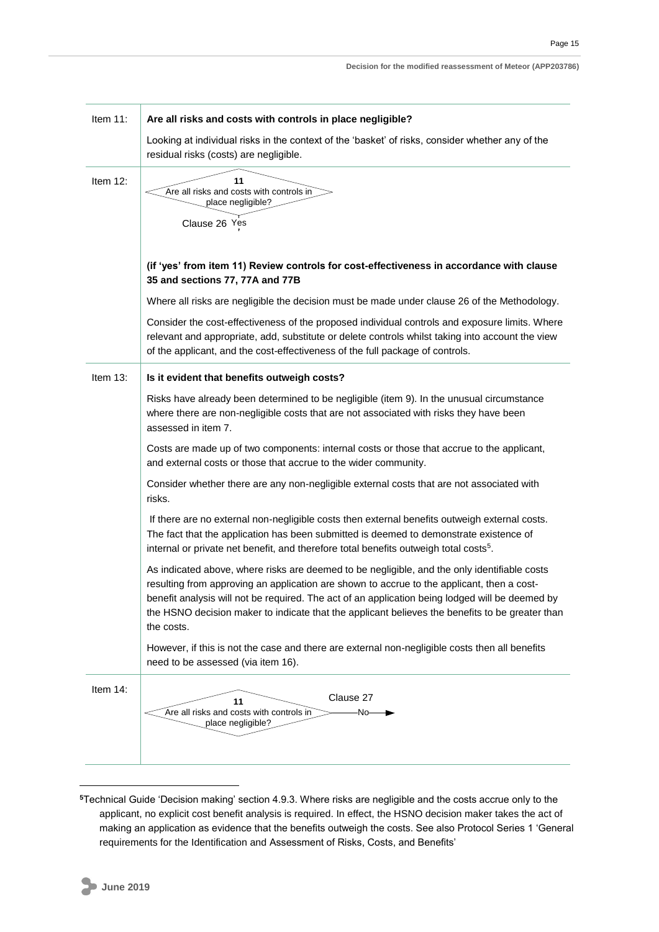| Item 11: | Are all risks and costs with controls in place negligible?                                                                                                                                                                                                                                                                                                                                                     |
|----------|----------------------------------------------------------------------------------------------------------------------------------------------------------------------------------------------------------------------------------------------------------------------------------------------------------------------------------------------------------------------------------------------------------------|
|          | Looking at individual risks in the context of the 'basket' of risks, consider whether any of the<br>residual risks (costs) are negligible.                                                                                                                                                                                                                                                                     |
| Item 12: | 11<br>Are all risks and costs with controls in<br>place negligible?<br>Clause 26 Yes                                                                                                                                                                                                                                                                                                                           |
|          | (if 'yes' from item 11) Review controls for cost-effectiveness in accordance with clause<br>35 and sections 77, 77A and 77B                                                                                                                                                                                                                                                                                    |
|          | Where all risks are negligible the decision must be made under clause 26 of the Methodology.                                                                                                                                                                                                                                                                                                                   |
|          | Consider the cost-effectiveness of the proposed individual controls and exposure limits. Where<br>relevant and appropriate, add, substitute or delete controls whilst taking into account the view<br>of the applicant, and the cost-effectiveness of the full package of controls.                                                                                                                            |
| Item 13: | Is it evident that benefits outweigh costs?                                                                                                                                                                                                                                                                                                                                                                    |
|          | Risks have already been determined to be negligible (item 9). In the unusual circumstance<br>where there are non-negligible costs that are not associated with risks they have been<br>assessed in item 7.                                                                                                                                                                                                     |
|          | Costs are made up of two components: internal costs or those that accrue to the applicant,<br>and external costs or those that accrue to the wider community.                                                                                                                                                                                                                                                  |
|          | Consider whether there are any non-negligible external costs that are not associated with<br>risks.                                                                                                                                                                                                                                                                                                            |
|          | If there are no external non-negligible costs then external benefits outweigh external costs.<br>The fact that the application has been submitted is deemed to demonstrate existence of<br>internal or private net benefit, and therefore total benefits outweigh total costs <sup>5</sup> .                                                                                                                   |
|          | As indicated above, where risks are deemed to be negligible, and the only identifiable costs<br>resulting from approving an application are shown to accrue to the applicant, then a cost-<br>benefit analysis will not be required. The act of an application being lodged will be deemed by<br>the HSNO decision maker to indicate that the applicant believes the benefits to be greater than<br>the costs. |
|          | However, if this is not the case and there are external non-negligible costs then all benefits<br>need to be assessed (via item 16).                                                                                                                                                                                                                                                                           |
| Item 14: | Clause 27<br>11<br>Are all risks and costs with controls in<br>∙No–<br>place negligible?                                                                                                                                                                                                                                                                                                                       |

**<sup>5</sup>**Technical Guide 'Decision making' section 4.9.3. Where risks are negligible and the costs accrue only to the applicant, no explicit cost benefit analysis is required. In effect, the HSNO decision maker takes the act of making an application as evidence that the benefits outweigh the costs. See also Protocol Series 1 'General requirements for the Identification and Assessment of Risks, Costs, and Benefits'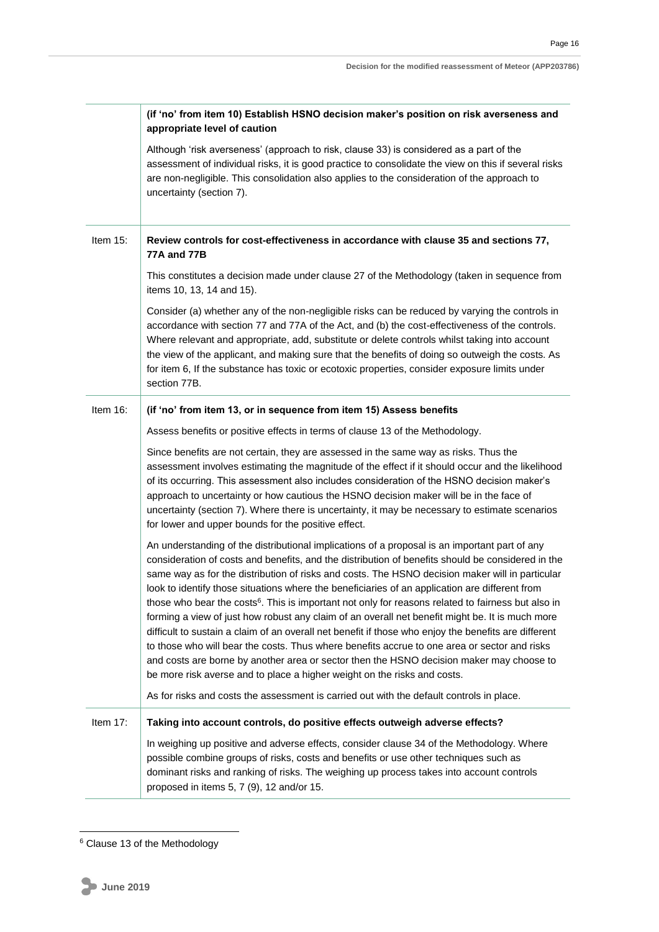|             | (if 'no' from item 10) Establish HSNO decision maker's position on risk averseness and<br>appropriate level of caution                                                                                                                                                                                                                                                                                                                                                                                                                                                                                                                                                                                                                                                                                                                                                                                                                                                                                       |
|-------------|--------------------------------------------------------------------------------------------------------------------------------------------------------------------------------------------------------------------------------------------------------------------------------------------------------------------------------------------------------------------------------------------------------------------------------------------------------------------------------------------------------------------------------------------------------------------------------------------------------------------------------------------------------------------------------------------------------------------------------------------------------------------------------------------------------------------------------------------------------------------------------------------------------------------------------------------------------------------------------------------------------------|
|             | Although 'risk averseness' (approach to risk, clause 33) is considered as a part of the<br>assessment of individual risks, it is good practice to consolidate the view on this if several risks<br>are non-negligible. This consolidation also applies to the consideration of the approach to<br>uncertainty (section 7).                                                                                                                                                                                                                                                                                                                                                                                                                                                                                                                                                                                                                                                                                   |
| Item $15$ : | Review controls for cost-effectiveness in accordance with clause 35 and sections 77,<br><b>77A and 77B</b>                                                                                                                                                                                                                                                                                                                                                                                                                                                                                                                                                                                                                                                                                                                                                                                                                                                                                                   |
|             | This constitutes a decision made under clause 27 of the Methodology (taken in sequence from<br>items 10, 13, 14 and 15).                                                                                                                                                                                                                                                                                                                                                                                                                                                                                                                                                                                                                                                                                                                                                                                                                                                                                     |
|             | Consider (a) whether any of the non-negligible risks can be reduced by varying the controls in<br>accordance with section 77 and 77A of the Act, and (b) the cost-effectiveness of the controls.<br>Where relevant and appropriate, add, substitute or delete controls whilst taking into account<br>the view of the applicant, and making sure that the benefits of doing so outweigh the costs. As<br>for item 6, If the substance has toxic or ecotoxic properties, consider exposure limits under<br>section 77B.                                                                                                                                                                                                                                                                                                                                                                                                                                                                                        |
| Item 16:    | (if 'no' from item 13, or in sequence from item 15) Assess benefits                                                                                                                                                                                                                                                                                                                                                                                                                                                                                                                                                                                                                                                                                                                                                                                                                                                                                                                                          |
|             | Assess benefits or positive effects in terms of clause 13 of the Methodology.                                                                                                                                                                                                                                                                                                                                                                                                                                                                                                                                                                                                                                                                                                                                                                                                                                                                                                                                |
|             | Since benefits are not certain, they are assessed in the same way as risks. Thus the<br>assessment involves estimating the magnitude of the effect if it should occur and the likelihood<br>of its occurring. This assessment also includes consideration of the HSNO decision maker's<br>approach to uncertainty or how cautious the HSNO decision maker will be in the face of<br>uncertainty (section 7). Where there is uncertainty, it may be necessary to estimate scenarios<br>for lower and upper bounds for the positive effect.                                                                                                                                                                                                                                                                                                                                                                                                                                                                    |
|             | An understanding of the distributional implications of a proposal is an important part of any<br>consideration of costs and benefits, and the distribution of benefits should be considered in the<br>same way as for the distribution of risks and costs. The HSNO decision maker will in particular<br>look to identify those situations where the beneficiaries of an application are different from<br>those who bear the costs <sup>6</sup> . This is important not only for reasons related to fairness but also in<br>forming a view of just how robust any claim of an overall net benefit might be. It is much more<br>difficult to sustain a claim of an overall net benefit if those who enjoy the benefits are different<br>to those who will bear the costs. Thus where benefits accrue to one area or sector and risks<br>and costs are borne by another area or sector then the HSNO decision maker may choose to<br>be more risk averse and to place a higher weight on the risks and costs. |
|             | As for risks and costs the assessment is carried out with the default controls in place.                                                                                                                                                                                                                                                                                                                                                                                                                                                                                                                                                                                                                                                                                                                                                                                                                                                                                                                     |
| Item 17:    | Taking into account controls, do positive effects outweigh adverse effects?                                                                                                                                                                                                                                                                                                                                                                                                                                                                                                                                                                                                                                                                                                                                                                                                                                                                                                                                  |
|             | In weighing up positive and adverse effects, consider clause 34 of the Methodology. Where<br>possible combine groups of risks, costs and benefits or use other techniques such as<br>dominant risks and ranking of risks. The weighing up process takes into account controls<br>proposed in items 5, 7 (9), 12 and/or 15.                                                                                                                                                                                                                                                                                                                                                                                                                                                                                                                                                                                                                                                                                   |

<sup>&</sup>lt;sup>6</sup> Clause 13 of the Methodology